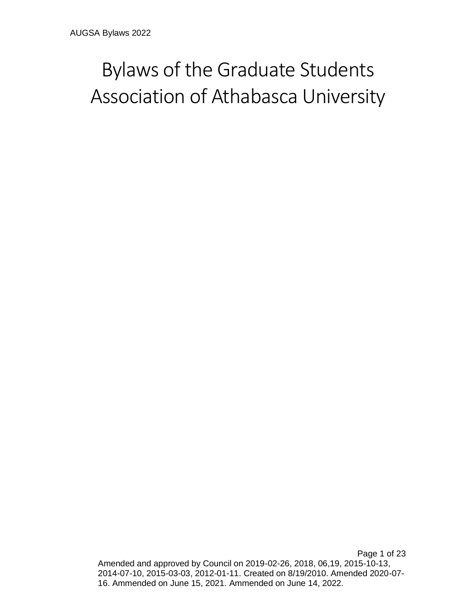# Bylaws of the Graduate Students Association of Athabasca University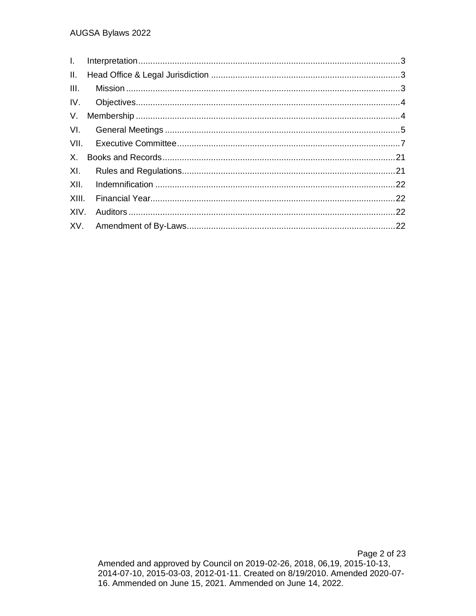| III. |  |
|------|--|
|      |  |
|      |  |
|      |  |
|      |  |
|      |  |
|      |  |
|      |  |
|      |  |
|      |  |
|      |  |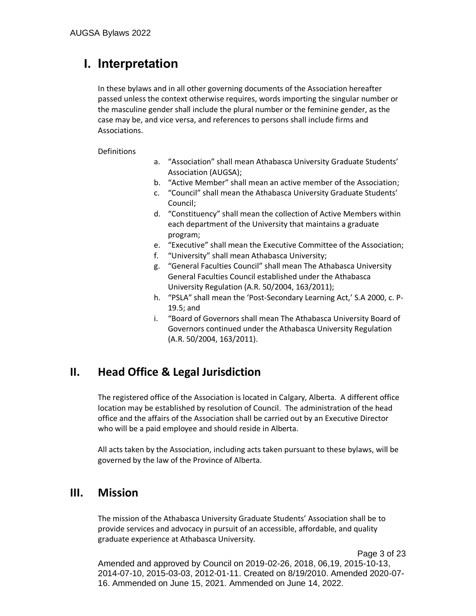# <span id="page-2-0"></span>**I. Interpretation**

In these bylaws and in all other governing documents of the Association hereafter passed unless the context otherwise requires, words importing the singular number or the masculine gender shall include the plural number or the feminine gender, as the case may be, and vice versa, and references to persons shall include firms and Associations.

**Definitions** 

- a. "Association" shall mean Athabasca University Graduate Students' Association (AUGSA);
- b. "Active Member" shall mean an active member of the Association;
- c. "Council" shall mean the Athabasca University Graduate Students' Council;
- d. "Constituency" shall mean the collection of Active Members within each department of the University that maintains a graduate program;
- e. "Executive" shall mean the Executive Committee of the Association;
- f. "University" shall mean Athabasca University;
- g. "General Faculties Council" shall mean The Athabasca University General Faculties Council established under the Athabasca University Regulation (A.R. 50/2004, 163/2011);
- h. "PSLA" shall mean the 'Post-Secondary Learning Act,' S.A 2000, c. P-19.5; and
- i. "Board of Governors shall mean The Athabasca University Board of Governors continued under the Athabasca University Regulation (A.R. 50/2004, 163/2011).

## <span id="page-2-1"></span>**II. Head Office & Legal Jurisdiction**

The registered office of the Association is located in Calgary, Alberta. A different office location may be established by resolution of Council. The administration of the head office and the affairs of the Association shall be carried out by an Executive Director who will be a paid employee and should reside in Alberta.

All acts taken by the Association, including acts taken pursuant to these bylaws, will be governed by the law of the Province of Alberta.

## <span id="page-2-2"></span>**III. Mission**

The mission of the Athabasca University Graduate Students' Association shall be to provide services and advocacy in pursuit of an accessible, affordable, and quality graduate experience at Athabasca University.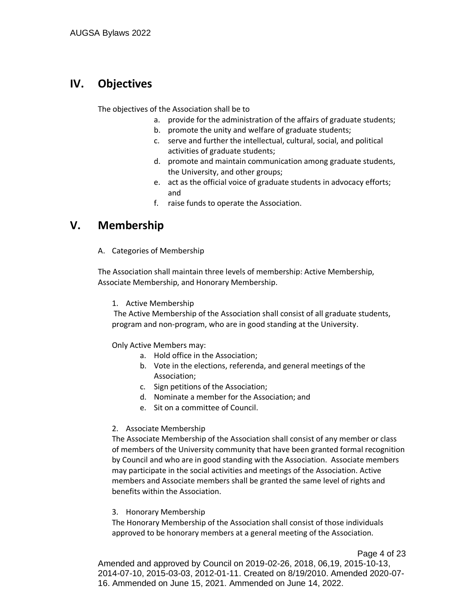## <span id="page-3-0"></span>**IV. Objectives**

The objectives of the Association shall be to

- a. provide for the administration of the affairs of graduate students;
- b. promote the unity and welfare of graduate students;
- c. serve and further the intellectual, cultural, social, and political activities of graduate students;
- d. promote and maintain communication among graduate students, the University, and other groups;
- e. act as the official voice of graduate students in advocacy efforts; and
- f. raise funds to operate the Association.

## <span id="page-3-1"></span>**V. Membership**

A. Categories of Membership

The Association shall maintain three levels of membership: Active Membership, Associate Membership, and Honorary Membership.

1. Active Membership

The Active Membership of the Association shall consist of all graduate students, program and non-program, who are in good standing at the University.

Only Active Members may:

- a. Hold office in the Association;
- b. Vote in the elections, referenda, and general meetings of the Association;
- c. Sign petitions of the Association;
- d. Nominate a member for the Association; and
- e. Sit on a committee of Council.

#### 2. Associate Membership

The Associate Membership of the Association shall consist of any member or class of members of the University community that have been granted formal recognition by Council and who are in good standing with the Association. Associate members may participate in the social activities and meetings of the Association. Active members and Associate members shall be granted the same level of rights and benefits within the Association.

#### 3. Honorary Membership

The Honorary Membership of the Association shall consist of those individuals approved to be honorary members at a general meeting of the Association.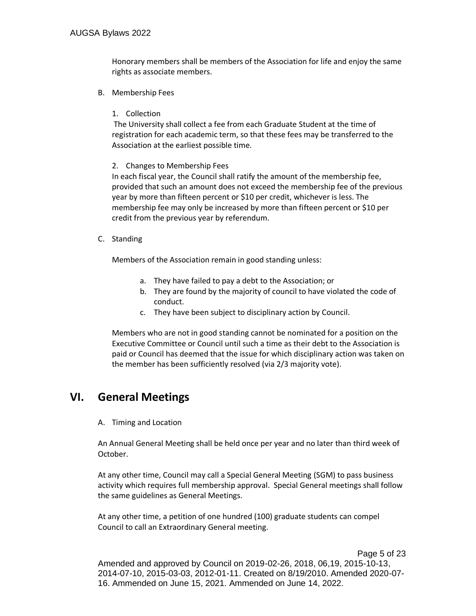Honorary members shall be members of the Association for life and enjoy the same rights as associate members.

B. Membership Fees

#### 1. Collection

The University shall collect a fee from each Graduate Student at the time of registration for each academic term, so that these fees may be transferred to the Association at the earliest possible time.

#### 2. Changes to Membership Fees

In each fiscal year, the Council shall ratify the amount of the membership fee, provided that such an amount does not exceed the membership fee of the previous year by more than fifteen percent or \$10 per credit, whichever is less. The membership fee may only be increased by more than fifteen percent or \$10 per credit from the previous year by referendum.

C. Standing

Members of the Association remain in good standing unless:

- a. They have failed to pay a debt to the Association; or
- b. They are found by the majority of council to have violated the code of conduct.
- c. They have been subject to disciplinary action by Council.

Members who are not in good standing cannot be nominated for a position on the Executive Committee or Council until such a time as their debt to the Association is paid or Council has deemed that the issue for which disciplinary action was taken on the member has been sufficiently resolved (via 2/3 majority vote).

## <span id="page-4-0"></span>**VI. General Meetings**

A. Timing and Location

An Annual General Meeting shall be held once per year and no later than third week of October.

At any other time, Council may call a Special General Meeting (SGM) to pass business activity which requires full membership approval. Special General meetings shall follow the same guidelines as General Meetings.

At any other time, a petition of one hundred (100) graduate students can compel Council to call an Extraordinary General meeting.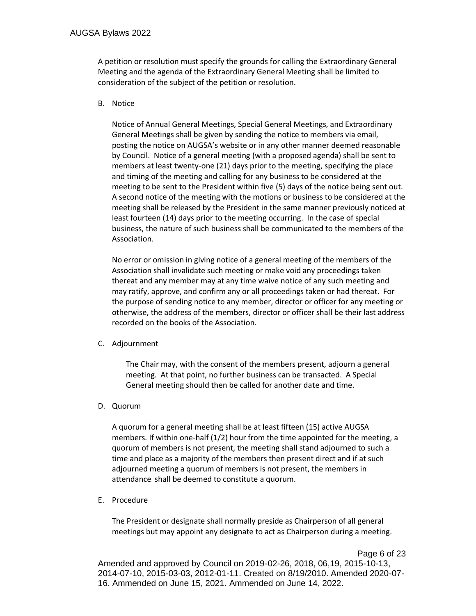A petition or resolution must specify the grounds for calling the Extraordinary General Meeting and the agenda of the Extraordinary General Meeting shall be limited to consideration of the subject of the petition or resolution.

#### B. Notice

Notice of Annual General Meetings, Special General Meetings, and Extraordinary General Meetings shall be given by sending the notice to members via email, posting the notice on AUGSA's website or in any other manner deemed reasonable by Council. Notice of a general meeting (with a proposed agenda) shall be sent to members at least twenty-one (21) days prior to the meeting, specifying the place and timing of the meeting and calling for any business to be considered at the meeting to be sent to the President within five (5) days of the notice being sent out. A second notice of the meeting with the motions or business to be considered at the meeting shall be released by the President in the same manner previously noticed at least fourteen (14) days prior to the meeting occurring. In the case of special business, the nature of such business shall be communicated to the members of the Association.

No error or omission in giving notice of a general meeting of the members of the Association shall invalidate such meeting or make void any proceedings taken thereat and any member may at any time waive notice of any such meeting and may ratify, approve, and confirm any or all proceedings taken or had thereat. For the purpose of sending notice to any member, director or officer for any meeting or otherwise, the address of the members, director or officer shall be their last address recorded on the books of the Association.

#### C. Adjournment

The Chair may, with the consent of the members present, adjourn a general meeting. At that point, no further business can be transacted. A Special General meeting should then be called for another date and time.

#### D. Quorum

A quorum for a general meeting shall be at least fifteen (15) active AUGSA members. If within one-half (1/2) hour from the time appointed for the meeting, a quorum of members is not present, the meeting shall stand adjourned to such a time and place as a majority of the members then present direct and if at such adjourned meeting a quorum of members is not present, the members in attendance<sup>i</sup> shall be deemed to constitute a quorum.

#### E. Procedure

The President or designate shall normally preside as Chairperson of all general meetings but may appoint any designate to act as Chairperson during a meeting.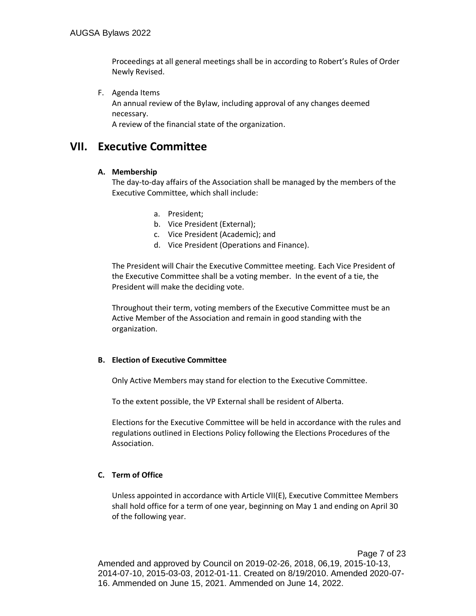Proceedings at all general meetings shall be in according to Robert's Rules of Order Newly Revised.

F. Agenda Items

An annual review of the Bylaw, including approval of any changes deemed necessary.

A review of the financial state of the organization.

## <span id="page-6-0"></span>**VII. Executive Committee**

#### **A. Membership**

The day-to-day affairs of the Association shall be managed by the members of the Executive Committee, which shall include:

- a. President;
- b. Vice President (External);
- c. Vice President (Academic); and
- d. Vice President (Operations and Finance).

The President will Chair the Executive Committee meeting. Each Vice President of the Executive Committee shall be a voting member. In the event of a tie, the President will make the deciding vote.

Throughout their term, voting members of the Executive Committee must be an Active Member of the Association and remain in good standing with the organization.

#### **B. Election of Executive Committee**

Only Active Members may stand for election to the Executive Committee.

To the extent possible, the VP External shall be resident of Alberta.

Elections for the Executive Committee will be held in accordance with the rules and regulations outlined in Elections Policy following the Elections Procedures of the Association.

#### **C. Term of Office**

Unless appointed in accordance with Article VII(E), Executive Committee Members shall hold office for a term of one year, beginning on May 1 and ending on April 30 of the following year.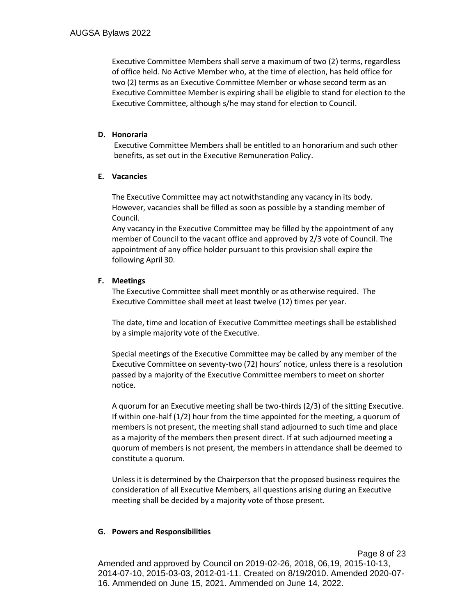Executive Committee Members shall serve a maximum of two (2) terms, regardless of office held. No Active Member who, at the time of election, has held office for two (2) terms as an Executive Committee Member or whose second term as an Executive Committee Member is expiring shall be eligible to stand for election to the Executive Committee, although s/he may stand for election to Council.

#### **D. Honoraria**

Executive Committee Members shall be entitled to an honorarium and such other benefits, as set out in the Executive Remuneration Policy.

#### **E. Vacancies**

The Executive Committee may act notwithstanding any vacancy in its body. However, vacancies shall be filled as soon as possible by a standing member of Council.

Any vacancy in the Executive Committee may be filled by the appointment of any member of Council to the vacant office and approved by 2/3 vote of Council. The appointment of any office holder pursuant to this provision shall expire the following April 30.

#### **F. Meetings**

The Executive Committee shall meet monthly or as otherwise required. The Executive Committee shall meet at least twelve (12) times per year.

The date, time and location of Executive Committee meetings shall be established by a simple majority vote of the Executive.

Special meetings of the Executive Committee may be called by any member of the Executive Committee on seventy-two (72) hours' notice, unless there is a resolution passed by a majority of the Executive Committee members to meet on shorter notice.

A quorum for an Executive meeting shall be two-thirds (2/3) of the sitting Executive. If within one-half (1/2) hour from the time appointed for the meeting, a quorum of members is not present, the meeting shall stand adjourned to such time and place as a majority of the members then present direct. If at such adjourned meeting a quorum of members is not present, the members in attendance shall be deemed to constitute a quorum.

Unless it is determined by the Chairperson that the proposed business requires the consideration of all Executive Members, all questions arising during an Executive meeting shall be decided by a majority vote of those present.

#### **G. Powers and Responsibilities**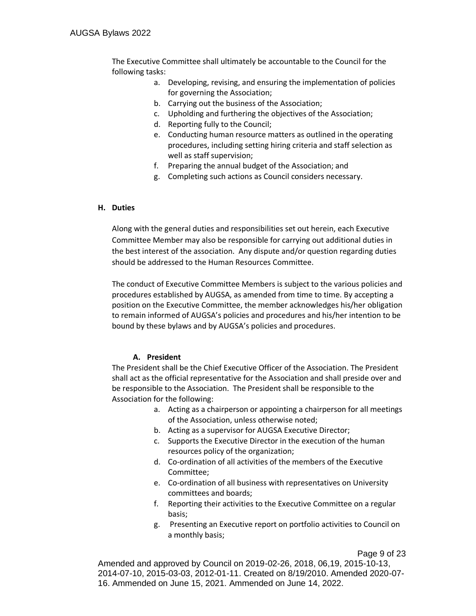The Executive Committee shall ultimately be accountable to the Council for the following tasks:

- a. Developing, revising, and ensuring the implementation of policies for governing the Association;
- b. Carrying out the business of the Association;
- c. Upholding and furthering the objectives of the Association;
- d. Reporting fully to the Council;
- e. Conducting human resource matters as outlined in the operating procedures, including setting hiring criteria and staff selection as well as staff supervision;
- f. Preparing the annual budget of the Association; and
- g. Completing such actions as Council considers necessary.

#### **H. Duties**

Along with the general duties and responsibilities set out herein, each Executive Committee Member may also be responsible for carrying out additional duties in the best interest of the association. Any dispute and/or question regarding duties should be addressed to the Human Resources Committee.

The conduct of Executive Committee Members is subject to the various policies and procedures established by AUGSA, as amended from time to time. By accepting a position on the Executive Committee, the member acknowledges his/her obligation to remain informed of AUGSA's policies and procedures and his/her intention to be bound by these bylaws and by AUGSA's policies and procedures.

#### **A. President**

The President shall be the Chief Executive Officer of the Association. The President shall act as the official representative for the Association and shall preside over and be responsible to the Association. The President shall be responsible to the Association for the following:

- a. Acting as a chairperson or appointing a chairperson for all meetings of the Association, unless otherwise noted;
- b. Acting as a supervisor for AUGSA Executive Director;
- c. Supports the Executive Director in the execution of the human resources policy of the organization;
- d. Co-ordination of all activities of the members of the Executive Committee;
- e. Co-ordination of all business with representatives on University committees and boards;
- f. Reporting their activities to the Executive Committee on a regular basis;
- g. Presenting an Executive report on portfolio activities to Council on a monthly basis;

Page 9 of 23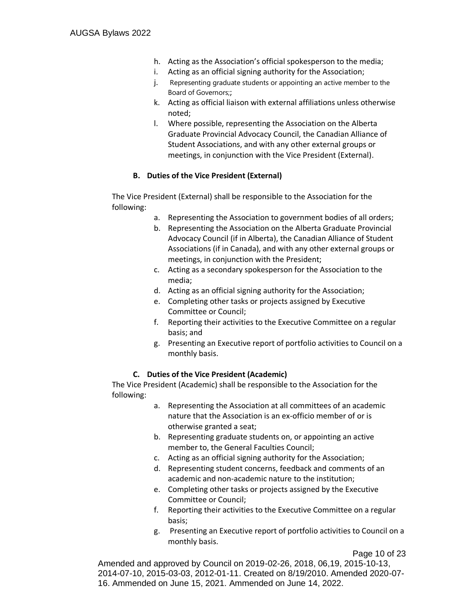- h. Acting as the Association's official spokesperson to the media;
- i. Acting as an official signing authority for the Association;
- j. Representing graduate students or appointing an active member to the Board of Governors;;
- k. Acting as official liaison with external affiliations unless otherwise noted;
- l. Where possible, representing the Association on the Alberta Graduate Provincial Advocacy Council, the Canadian Alliance of Student Associations, and with any other external groups or meetings, in conjunction with the Vice President (External).

#### **B. Duties of the Vice President (External)**

The Vice President (External) shall be responsible to the Association for the following:

- a. Representing the Association to government bodies of all orders;
- b. Representing the Association on the Alberta Graduate Provincial Advocacy Council (if in Alberta), the Canadian Alliance of Student Associations (if in Canada), and with any other external groups or meetings, in conjunction with the President;
- c. Acting as a secondary spokesperson for the Association to the media;
- d. Acting as an official signing authority for the Association;
- e. Completing other tasks or projects assigned by Executive Committee or Council;
- f. Reporting their activities to the Executive Committee on a regular basis; and
- g. Presenting an Executive report of portfolio activities to Council on a monthly basis.

#### **C. Duties of the Vice President (Academic)**

The Vice President (Academic) shall be responsible to the Association for the following:

- a. Representing the Association at all committees of an academic nature that the Association is an ex-officio member of or is otherwise granted a seat;
- b. Representing graduate students on, or appointing an active member to, the General Faculties Council;
- c. Acting as an official signing authority for the Association;
- d. Representing student concerns, feedback and comments of an academic and non-academic nature to the institution;
- e. Completing other tasks or projects assigned by the Executive Committee or Council;
- f. Reporting their activities to the Executive Committee on a regular basis;
- g. Presenting an Executive report of portfolio activities to Council on a monthly basis.

Page 10 of 23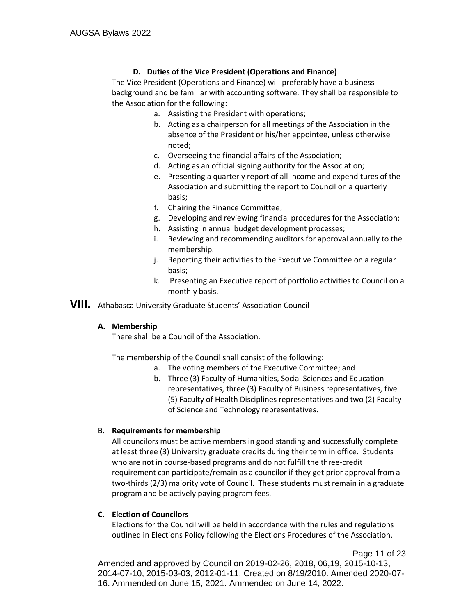#### **D. Duties of the Vice President (Operations and Finance)**

The Vice President (Operations and Finance) will preferably have a business background and be familiar with accounting software. They shall be responsible to the Association for the following:

- a. Assisting the President with operations;
- b. Acting as a chairperson for all meetings of the Association in the absence of the President or his/her appointee, unless otherwise noted;
- c. Overseeing the financial affairs of the Association;
- d. Acting as an official signing authority for the Association;
- e. Presenting a quarterly report of all income and expenditures of the Association and submitting the report to Council on a quarterly basis;
- f. Chairing the Finance Committee;
- g. Developing and reviewing financial procedures for the Association;
- h. Assisting in annual budget development processes;
- i. Reviewing and recommending auditors for approval annually to the membership.
- j. Reporting their activities to the Executive Committee on a regular basis;
- k. Presenting an Executive report of portfolio activities to Council on a monthly basis.
- **VIII.** Athabasca University Graduate Students' Association Council

#### **A. Membership**

There shall be a Council of the Association.

The membership of the Council shall consist of the following:

- a. The voting members of the Executive Committee; and
- b. Three (3) Faculty of Humanities, Social Sciences and Education representatives, three (3) Faculty of Business representatives, five (5) Faculty of Health Disciplines representatives and two (2) Faculty of Science and Technology representatives.

#### B. **Requirements for membership**

All councilors must be active members in good standing and successfully complete at least three (3) University graduate credits during their term in office. Students who are not in course-based programs and do not fulfill the three-credit requirement can participate/remain as a councilor if they get prior approval from a two-thirds (2/3) majority vote of Council. These students must remain in a graduate program and be actively paying program fees.

#### **C. Election of Councilors**

Elections for the Council will be held in accordance with the rules and regulations outlined in Elections Policy following the Elections Procedures of the Association.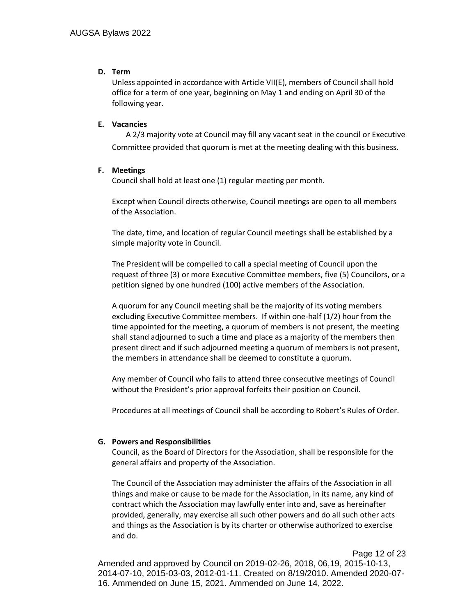#### **D. Term**

Unless appointed in accordance with Article VII(E), members of Council shall hold office for a term of one year, beginning on May 1 and ending on April 30 of the following year.

#### **E. Vacancies**

A 2/3 majority vote at Council may fill any vacant seat in the council or Executive Committee provided that quorum is met at the meeting dealing with this business.

#### **F. Meetings**

Council shall hold at least one (1) regular meeting per month.

Except when Council directs otherwise, Council meetings are open to all members of the Association.

The date, time, and location of regular Council meetings shall be established by a simple majority vote in Council.

The President will be compelled to call a special meeting of Council upon the request of three (3) or more Executive Committee members, five (5) Councilors, or a petition signed by one hundred (100) active members of the Association.

A quorum for any Council meeting shall be the majority of its voting members excluding Executive Committee members. If within one-half (1/2) hour from the time appointed for the meeting, a quorum of members is not present, the meeting shall stand adjourned to such a time and place as a majority of the members then present direct and if such adjourned meeting a quorum of members is not present, the members in attendance shall be deemed to constitute a quorum.

Any member of Council who fails to attend three consecutive meetings of Council without the President's prior approval forfeits their position on Council.

Procedures at all meetings of Council shall be according to Robert's Rules of Order.

#### **G. Powers and Responsibilities**

Council, as the Board of Directors for the Association, shall be responsible for the general affairs and property of the Association.

The Council of the Association may administer the affairs of the Association in all things and make or cause to be made for the Association, in its name, any kind of contract which the Association may lawfully enter into and, save as hereinafter provided, generally, may exercise all such other powers and do all such other acts and things as the Association is by its charter or otherwise authorized to exercise and do.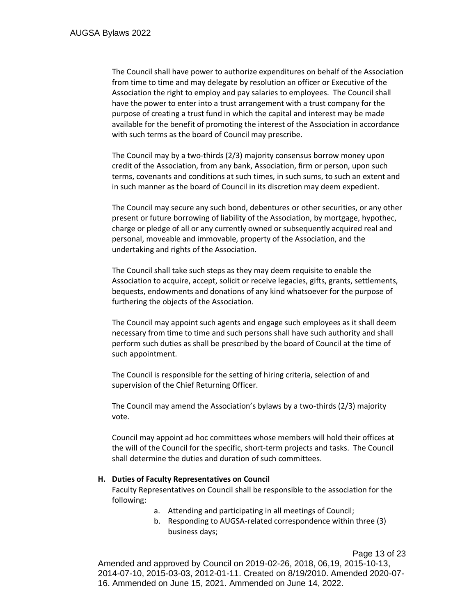The Council shall have power to authorize expenditures on behalf of the Association from time to time and may delegate by resolution an officer or Executive of the Association the right to employ and pay salaries to employees. The Council shall have the power to enter into a trust arrangement with a trust company for the purpose of creating a trust fund in which the capital and interest may be made available for the benefit of promoting the interest of the Association in accordance with such terms as the board of Council may prescribe.

The Council may by a two-thirds (2/3) majority consensus borrow money upon credit of the Association, from any bank, Association, firm or person, upon such terms, covenants and conditions at such times, in such sums, to such an extent and in such manner as the board of Council in its discretion may deem expedient.

The Council may secure any such bond, debentures or other securities, or any other present or future borrowing of liability of the Association, by mortgage, hypothec, charge or pledge of all or any currently owned or subsequently acquired real and personal, moveable and immovable, property of the Association, and the undertaking and rights of the Association.

The Council shall take such steps as they may deem requisite to enable the Association to acquire, accept, solicit or receive legacies, gifts, grants, settlements, bequests, endowments and donations of any kind whatsoever for the purpose of furthering the objects of the Association.

The Council may appoint such agents and engage such employees as it shall deem necessary from time to time and such persons shall have such authority and shall perform such duties as shall be prescribed by the board of Council at the time of such appointment.

The Council is responsible for the setting of hiring criteria, selection of and supervision of the Chief Returning Officer.

The Council may amend the Association's bylaws by a two-thirds (2/3) majority vote.

Council may appoint ad hoc committees whose members will hold their offices at the will of the Council for the specific, short-term projects and tasks. The Council shall determine the duties and duration of such committees.

#### **H. Duties of Faculty Representatives on Council**

Faculty Representatives on Council shall be responsible to the association for the following:

- a. Attending and participating in all meetings of Council;
- b. Responding to AUGSA-related correspondence within three (3) business days;

Page 13 of 23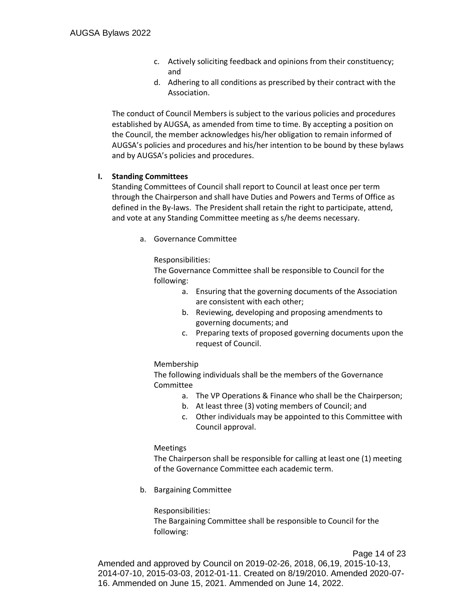- c. Actively soliciting feedback and opinions from their constituency; and
- d. Adhering to all conditions as prescribed by their contract with the Association.

The conduct of Council Members is subject to the various policies and procedures established by AUGSA, as amended from time to time. By accepting a position on the Council, the member acknowledges his/her obligation to remain informed of AUGSA's policies and procedures and his/her intention to be bound by these bylaws and by AUGSA's policies and procedures.

#### **I. Standing Committees**

Standing Committees of Council shall report to Council at least once per term through the Chairperson and shall have Duties and Powers and Terms of Office as defined in the By-laws. The President shall retain the right to participate, attend, and vote at any Standing Committee meeting as s/he deems necessary.

a. Governance Committee

Responsibilities:

The Governance Committee shall be responsible to Council for the following:

- a. Ensuring that the governing documents of the Association are consistent with each other;
- b. Reviewing, developing and proposing amendments to governing documents; and
- c. Preparing texts of proposed governing documents upon the request of Council.

#### Membership

The following individuals shall be the members of the Governance Committee

- a. The VP Operations & Finance who shall be the Chairperson;
- b. At least three (3) voting members of Council; and
- c. Other individuals may be appointed to this Committee with Council approval.

#### Meetings

The Chairperson shall be responsible for calling at least one (1) meeting of the Governance Committee each academic term.

b. Bargaining Committee

Responsibilities: The Bargaining Committee shall be responsible to Council for the following: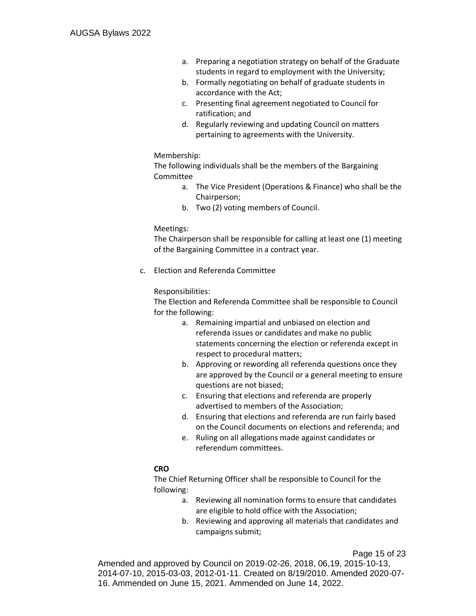- a. Preparing a negotiation strategy on behalf of the Graduate students in regard to employment with the University;
- b. Formally negotiating on behalf of graduate students in accordance with the Act;
- c. Presenting final agreement negotiated to Council for ratification; and
- d. Regularly reviewing and updating Council on matters pertaining to agreements with the University.

#### Membership:

The following individuals shall be the members of the Bargaining Committee

- a. The Vice President (Operations & Finance) who shall be the Chairperson;
- b. Two (2) voting members of Council.

#### Meetings:

The Chairperson shall be responsible for calling at least one (1) meeting of the Bargaining Committee in a contract year.

c. Election and Referenda Committee

#### Responsibilities:

The Election and Referenda Committee shall be responsible to Council for the following:

- a. Remaining impartial and unbiased on election and referenda issues or candidates and make no public statements concerning the election or referenda except in respect to procedural matters;
- b. Approving or rewording all referenda questions once they are approved by the Council or a general meeting to ensure questions are not biased;
- c. Ensuring that elections and referenda are properly advertised to members of the Association;
- d. Ensuring that elections and referenda are run fairly based on the Council documents on elections and referenda; and
- e. Ruling on all allegations made against candidates or referendum committees.

#### **CRO**

The Chief Returning Officer shall be responsible to Council for the following:

- a. Reviewing all nomination forms to ensure that candidates are eligible to hold office with the Association;
- b. Reviewing and approving all materials that candidates and campaigns submit;

Page 15 of 23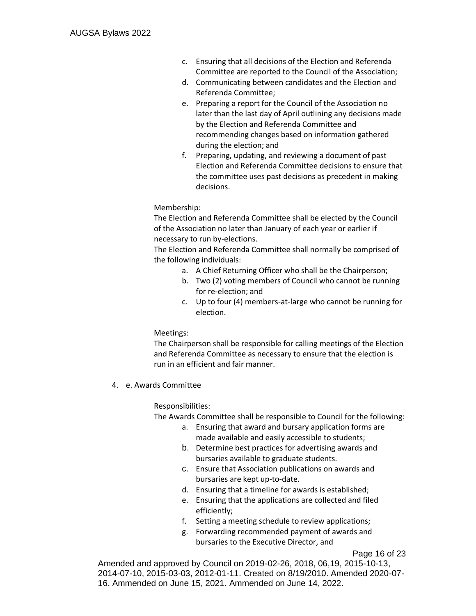- c. Ensuring that all decisions of the Election and Referenda Committee are reported to the Council of the Association;
- d. Communicating between candidates and the Election and Referenda Committee;
- e. Preparing a report for the Council of the Association no later than the last day of April outlining any decisions made by the Election and Referenda Committee and recommending changes based on information gathered during the election; and
- f. Preparing, updating, and reviewing a document of past Election and Referenda Committee decisions to ensure that the committee uses past decisions as precedent in making decisions.

#### Membership:

The Election and Referenda Committee shall be elected by the Council of the Association no later than January of each year or earlier if necessary to run by-elections.

The Election and Referenda Committee shall normally be comprised of the following individuals:

- a. A Chief Returning Officer who shall be the Chairperson;
- b. Two (2) voting members of Council who cannot be running for re-election; and
- c. Up to four (4) members-at-large who cannot be running for election.

Meetings:

The Chairperson shall be responsible for calling meetings of the Election and Referenda Committee as necessary to ensure that the election is run in an efficient and fair manner.

4. e. Awards Committee

#### Responsibilities:

The Awards Committee shall be responsible to Council for the following:

- a. Ensuring that award and bursary application forms are made available and easily accessible to students;
- b. Determine best practices for advertising awards and bursaries available to graduate students.
- c. Ensure that Association publications on awards and bursaries are kept up-to-date.
- d. Ensuring that a timeline for awards is established;
- e. Ensuring that the applications are collected and filed efficiently;
- f. Setting a meeting schedule to review applications;
- g. Forwarding recommended payment of awards and bursaries to the Executive Director, and

Page 16 of 23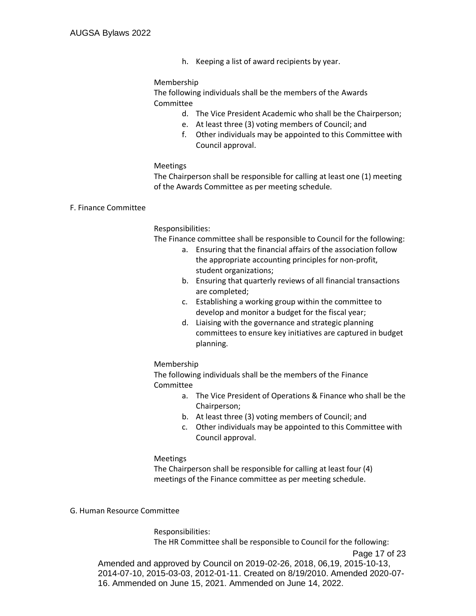h. Keeping a list of award recipients by year.

#### Membership

The following individuals shall be the members of the Awards Committee

- d. The Vice President Academic who shall be the Chairperson;
- e. At least three (3) voting members of Council; and
- f. Other individuals may be appointed to this Committee with Council approval.

#### Meetings

The Chairperson shall be responsible for calling at least one (1) meeting of the Awards Committee as per meeting schedule.

#### F. Finance Committee

#### Responsibilities:

The Finance committee shall be responsible to Council for the following:

- a. Ensuring that the financial affairs of the association follow the appropriate accounting principles for non-profit, student organizations;
- b. Ensuring that quarterly reviews of all financial transactions are completed;
- c. Establishing a working group within the committee to develop and monitor a budget for the fiscal year;
- d. Liaising with the governance and strategic planning committees to ensure key initiatives are captured in budget planning.

#### Membership

The following individuals shall be the members of the Finance Committee

- a. The Vice President of Operations & Finance who shall be the Chairperson;
- b. At least three (3) voting members of Council; and
- c. Other individuals may be appointed to this Committee with Council approval.

#### Meetings

The Chairperson shall be responsible for calling at least four (4) meetings of the Finance committee as per meeting schedule.

#### G. Human Resource Committee

Responsibilities: The HR Committee shall be responsible to Council for the following: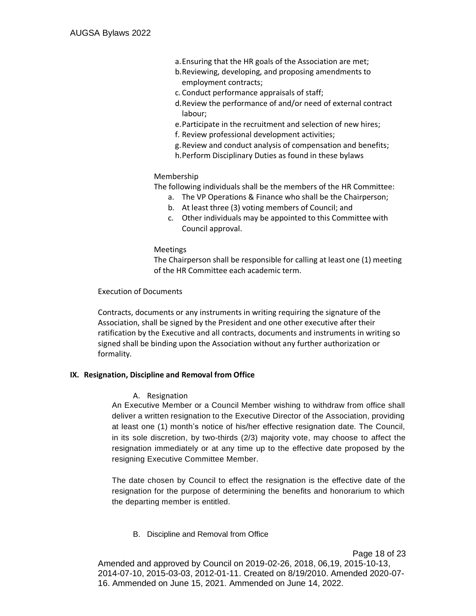- a.Ensuring that the HR goals of the Association are met;
- b.Reviewing, developing, and proposing amendments to employment contracts;
- c. Conduct performance appraisals of staff;
- d.Review the performance of and/or need of external contract labour;
- e.Participate in the recruitment and selection of new hires;
- f. Review professional development activities;
- g.Review and conduct analysis of compensation and benefits;
- h.Perform Disciplinary Duties as found in these bylaws

#### Membership

The following individuals shall be the members of the HR Committee:

- a. The VP Operations & Finance who shall be the Chairperson;
- b. At least three (3) voting members of Council; and
- c. Other individuals may be appointed to this Committee with Council approval.

#### Meetings

The Chairperson shall be responsible for calling at least one (1) meeting of the HR Committee each academic term.

#### Execution of Documents

Contracts, documents or any instruments in writing requiring the signature of the Association, shall be signed by the President and one other executive after their ratification by the Executive and all contracts, documents and instruments in writing so signed shall be binding upon the Association without any further authorization or formality.

#### **IX. Resignation, Discipline and Removal from Office**

A. Resignation

An Executive Member or a Council Member wishing to withdraw from office shall deliver a written resignation to the Executive Director of the Association, providing at least one (1) month's notice of his/her effective resignation date. The Council, in its sole discretion, by two-thirds (2/3) majority vote, may choose to affect the resignation immediately or at any time up to the effective date proposed by the resigning Executive Committee Member.

The date chosen by Council to effect the resignation is the effective date of the resignation for the purpose of determining the benefits and honorarium to which the departing member is entitled.

B. Discipline and Removal from Office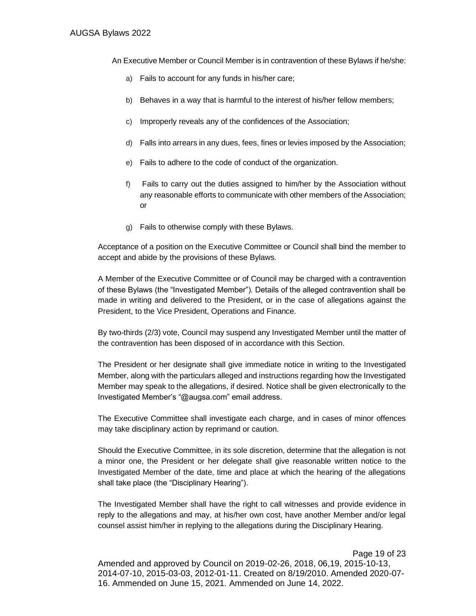An Executive Member or Council Member is in contravention of these Bylaws if he/she:

- a) Fails to account for any funds in his/her care;
- b) Behaves in a way that is harmful to the interest of his/her fellow members;
- c) Improperly reveals any of the confidences of the Association;
- d) Falls into arrears in any dues, fees, fines or levies imposed by the Association;
- e) Fails to adhere to the code of conduct of the organization.
- f) Fails to carry out the duties assigned to him/her by the Association without any reasonable efforts to communicate with other members of the Association; or
- g) Fails to otherwise comply with these Bylaws.

Acceptance of a position on the Executive Committee or Council shall bind the member to accept and abide by the provisions of these Bylaws.

A Member of the Executive Committee or of Council may be charged with a contravention of these Bylaws (the "Investigated Member"). Details of the alleged contravention shall be made in writing and delivered to the President, or in the case of allegations against the President, to the Vice President, Operations and Finance.

By two-thirds (2/3) vote, Council may suspend any Investigated Member until the matter of the contravention has been disposed of in accordance with this Section.

The President or her designate shall give immediate notice in writing to the Investigated Member, along with the particulars alleged and instructions regarding how the Investigated Member may speak to the allegations, if desired. Notice shall be given electronically to the Investigated Member's "@augsa.com" email address.

The Executive Committee shall investigate each charge, and in cases of minor offences may take disciplinary action by reprimand or caution.

Should the Executive Committee, in its sole discretion, determine that the allegation is not a minor one, the President or her delegate shall give reasonable written notice to the Investigated Member of the date, time and place at which the hearing of the allegations shall take place (the "Disciplinary Hearing").

The Investigated Member shall have the right to call witnesses and provide evidence in reply to the allegations and may, at his/her own cost, have another Member and/or legal counsel assist him/her in replying to the allegations during the Disciplinary Hearing.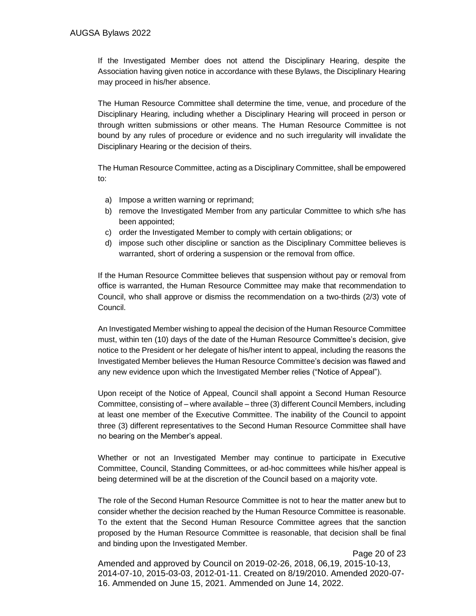If the Investigated Member does not attend the Disciplinary Hearing, despite the Association having given notice in accordance with these Bylaws, the Disciplinary Hearing may proceed in his/her absence.

The Human Resource Committee shall determine the time, venue, and procedure of the Disciplinary Hearing, including whether a Disciplinary Hearing will proceed in person or through written submissions or other means. The Human Resource Committee is not bound by any rules of procedure or evidence and no such irregularity will invalidate the Disciplinary Hearing or the decision of theirs.

The Human Resource Committee, acting as a Disciplinary Committee, shall be empowered to:

- a) Impose a written warning or reprimand;
- b) remove the Investigated Member from any particular Committee to which s/he has been appointed;
- c) order the Investigated Member to comply with certain obligations; or
- d) impose such other discipline or sanction as the Disciplinary Committee believes is warranted, short of ordering a suspension or the removal from office.

If the Human Resource Committee believes that suspension without pay or removal from office is warranted, the Human Resource Committee may make that recommendation to Council, who shall approve or dismiss the recommendation on a two-thirds (2/3) vote of Council.

An Investigated Member wishing to appeal the decision of the Human Resource Committee must, within ten (10) days of the date of the Human Resource Committee's decision, give notice to the President or her delegate of his/her intent to appeal, including the reasons the Investigated Member believes the Human Resource Committee's decision was flawed and any new evidence upon which the Investigated Member relies ("Notice of Appeal").

Upon receipt of the Notice of Appeal, Council shall appoint a Second Human Resource Committee, consisting of – where available – three (3) different Council Members, including at least one member of the Executive Committee. The inability of the Council to appoint three (3) different representatives to the Second Human Resource Committee shall have no bearing on the Member's appeal.

Whether or not an Investigated Member may continue to participate in Executive Committee, Council, Standing Committees, or ad-hoc committees while his/her appeal is being determined will be at the discretion of the Council based on a majority vote.

The role of the Second Human Resource Committee is not to hear the matter anew but to consider whether the decision reached by the Human Resource Committee is reasonable. To the extent that the Second Human Resource Committee agrees that the sanction proposed by the Human Resource Committee is reasonable, that decision shall be final and binding upon the Investigated Member.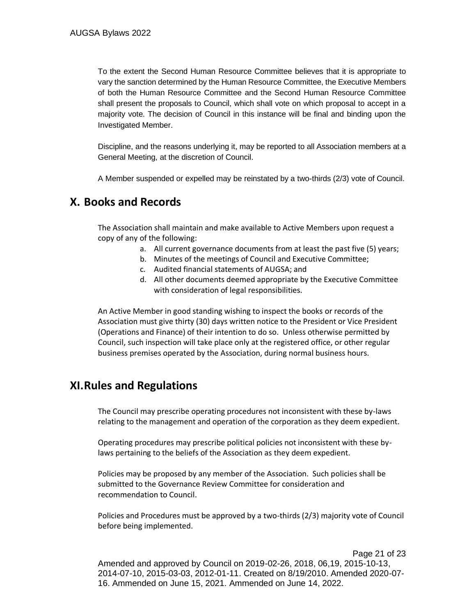To the extent the Second Human Resource Committee believes that it is appropriate to vary the sanction determined by the Human Resource Committee, the Executive Members of both the Human Resource Committee and the Second Human Resource Committee shall present the proposals to Council, which shall vote on which proposal to accept in a majority vote. The decision of Council in this instance will be final and binding upon the Investigated Member.

Discipline, and the reasons underlying it, may be reported to all Association members at a General Meeting, at the discretion of Council.

A Member suspended or expelled may be reinstated by a two-thirds (2/3) vote of Council.

## <span id="page-20-0"></span>**X. Books and Records**

The Association shall maintain and make available to Active Members upon request a copy of any of the following:

- a. All current governance documents from at least the past five (5) years;
- b. Minutes of the meetings of Council and Executive Committee;
- c. Audited financial statements of AUGSA; and
- d. All other documents deemed appropriate by the Executive Committee with consideration of legal responsibilities.

An Active Member in good standing wishing to inspect the books or records of the Association must give thirty (30) days written notice to the President or Vice President (Operations and Finance) of their intention to do so. Unless otherwise permitted by Council, such inspection will take place only at the registered office, or other regular business premises operated by the Association, during normal business hours.

## <span id="page-20-1"></span>**XI.Rules and Regulations**

The Council may prescribe operating procedures not inconsistent with these by-laws relating to the management and operation of the corporation as they deem expedient.

Operating procedures may prescribe political policies not inconsistent with these bylaws pertaining to the beliefs of the Association as they deem expedient.

Policies may be proposed by any member of the Association. Such policies shall be submitted to the Governance Review Committee for consideration and recommendation to Council.

Policies and Procedures must be approved by a two-thirds (2/3) majority vote of Council before being implemented.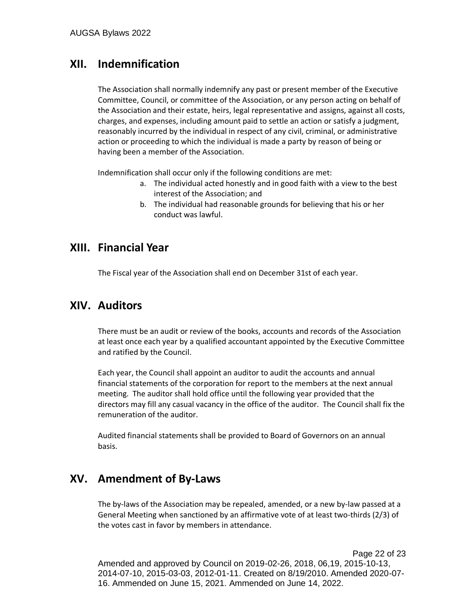## <span id="page-21-0"></span>**XII. Indemnification**

The Association shall normally indemnify any past or present member of the Executive Committee, Council, or committee of the Association, or any person acting on behalf of the Association and their estate, heirs, legal representative and assigns, against all costs, charges, and expenses, including amount paid to settle an action or satisfy a judgment, reasonably incurred by the individual in respect of any civil, criminal, or administrative action or proceeding to which the individual is made a party by reason of being or having been a member of the Association.

Indemnification shall occur only if the following conditions are met:

- a. The individual acted honestly and in good faith with a view to the best interest of the Association; and
- b. The individual had reasonable grounds for believing that his or her conduct was lawful.

## <span id="page-21-1"></span>**XIII. Financial Year**

The Fiscal year of the Association shall end on December 31st of each year.

## <span id="page-21-2"></span>**XIV. Auditors**

There must be an audit or review of the books, accounts and records of the Association at least once each year by a qualified accountant appointed by the Executive Committee and ratified by the Council.

Each year, the Council shall appoint an auditor to audit the accounts and annual financial statements of the corporation for report to the members at the next annual meeting. The auditor shall hold office until the following year provided that the directors may fill any casual vacancy in the office of the auditor. The Council shall fix the remuneration of the auditor.

Audited financial statements shall be provided to Board of Governors on an annual basis.

## <span id="page-21-3"></span>**XV. Amendment of By-Laws**

The by-laws of the Association may be repealed, amended, or a new by-law passed at a General Meeting when sanctioned by an affirmative vote of at least two-thirds (2/3) of the votes cast in favor by members in attendance.